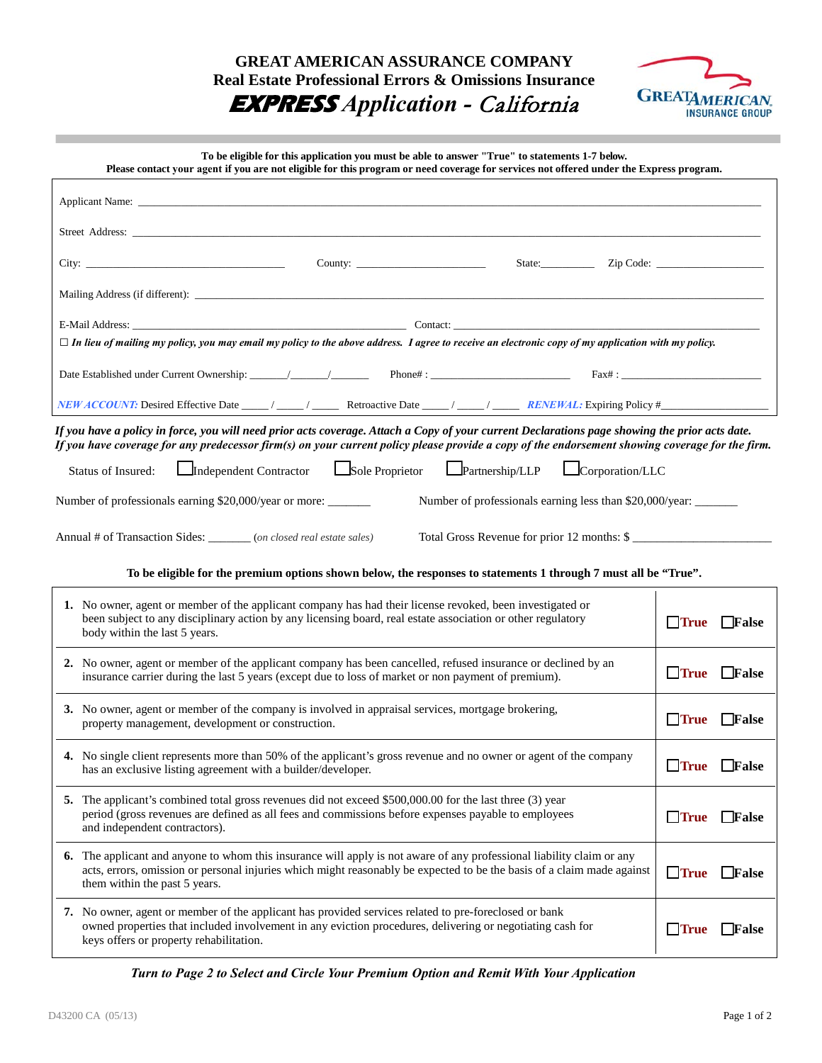**GREAT AMERICAN ASSURANCE COMPANY Real Estate Professional Errors & Omissions Insurance EXPRESS** *Application -* California



**To be eligible for this application you must be able to answer "True" to statements 1-7 below.** 

| Please contact your agent if you are not eligible for this program or need coverage for services not offered under the Express program.                                                                                                                                                           |                                    |  |  |  |  |  |
|---------------------------------------------------------------------------------------------------------------------------------------------------------------------------------------------------------------------------------------------------------------------------------------------------|------------------------------------|--|--|--|--|--|
|                                                                                                                                                                                                                                                                                                   |                                    |  |  |  |  |  |
|                                                                                                                                                                                                                                                                                                   |                                    |  |  |  |  |  |
|                                                                                                                                                                                                                                                                                                   |                                    |  |  |  |  |  |
|                                                                                                                                                                                                                                                                                                   |                                    |  |  |  |  |  |
|                                                                                                                                                                                                                                                                                                   |                                    |  |  |  |  |  |
| $\Box$ In lieu of mailing my policy, you may email my policy to the above address. I agree to receive an electronic copy of my application with my policy.                                                                                                                                        |                                    |  |  |  |  |  |
|                                                                                                                                                                                                                                                                                                   |                                    |  |  |  |  |  |
|                                                                                                                                                                                                                                                                                                   |                                    |  |  |  |  |  |
| If you have a policy in force, you will need prior acts coverage. Attach a Copy of your current Declarations page showing the prior acts date.<br>If you have coverage for any predecessor firm(s) on your current policy please provide a copy of the endorsement showing coverage for the firm. |                                    |  |  |  |  |  |
| Sole Proprietor <u>Let</u> Partnership/LLP<br>Independent Contractor<br>$\Box$ Corporation/LLC<br>Status of Insured:                                                                                                                                                                              |                                    |  |  |  |  |  |
| Number of professionals earning \$20,000/year or more: _______<br>Number of professionals earning less than \$20,000/year: ______                                                                                                                                                                 |                                    |  |  |  |  |  |
| Total Gross Revenue for prior 12 months: \$<br>Annual # of Transaction Sides: ______ (on closed real estate sales)                                                                                                                                                                                |                                    |  |  |  |  |  |
| To be eligible for the premium options shown below, the responses to statements 1 through 7 must all be "True".                                                                                                                                                                                   |                                    |  |  |  |  |  |
| 1. No owner, agent or member of the applicant company has had their license revoked, been investigated or<br>been subject to any disciplinary action by any licensing board, real estate association or other regulatory<br>body within the last 5 years.                                         | $\Box$ True<br><b>False</b>        |  |  |  |  |  |
| 2. No owner, agent or member of the applicant company has been cancelled, refused insurance or declined by an<br>insurance carrier during the last 5 years (except due to loss of market or non payment of premium).                                                                              | $\Box$ True<br>$\Box$ False        |  |  |  |  |  |
| 3. No owner, agent or member of the company is involved in appraisal services, mortgage brokering,<br>property management, development or construction.                                                                                                                                           | True False                         |  |  |  |  |  |
| 4. No single client represents more than 50% of the applicant's gross revenue and no owner or agent of the company<br>has an exclusive listing agreement with a builder/developer.                                                                                                                | True False                         |  |  |  |  |  |
| 5. The applicant's combined total gross revenues did not exceed \$500,000.00 for the last three (3) year<br>period (gross revenues are defined as all fees and commissions before expenses payable to employees<br>and independent contractors).                                                  | $\Box$ True<br>$\Box$ False        |  |  |  |  |  |
| 6. The applicant and anyone to whom this insurance will apply is not aware of any professional liability claim or any<br>acts, errors, omission or personal injuries which might reasonably be expected to be the basis of a claim made against<br>them within the past 5 years.                  | $\Box$ True<br>$\Box$ <b>False</b> |  |  |  |  |  |
| 7. No owner, agent or member of the applicant has provided services related to pre-foreclosed or bank<br>owned properties that included involvement in any eviction procedures, delivering or negotiating cash for<br>keys offers or property rehabilitation.                                     | $\Box$ True<br>$\Box$ <b>False</b> |  |  |  |  |  |

*Turn to Page 2 to Select and Circle Your Premium Option and Remit With Your Application*